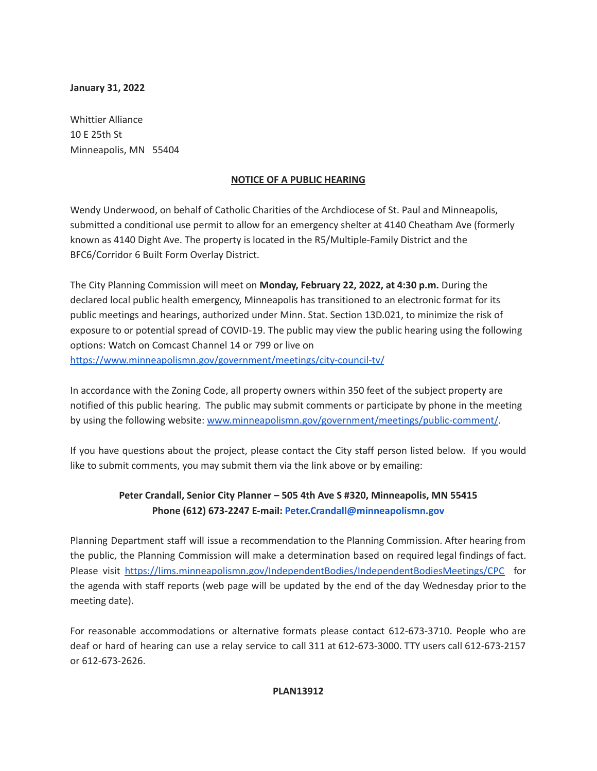## **January 31, 2022**

Whittier Alliance 10 E 25th St Minneapolis, MN 55404

## **NOTICE OF A PUBLIC HEARING**

Wendy Underwood, on behalf of Catholic Charities of the Archdiocese of St. Paul and Minneapolis, submitted a conditional use permit to allow for an emergency shelter at 4140 Cheatham Ave (formerly known as 4140 Dight Ave. The property is located in the R5/Multiple-Family District and the BFC6/Corridor 6 Built Form Overlay District.

The City Planning Commission will meet on **Monday, February 22, 2022, at 4:30 p.m.** During the declared local public health emergency, Minneapolis has transitioned to an electronic format for its public meetings and hearings, authorized under Minn. Stat. Section 13D.021, to minimize the risk of exposure to or potential spread of COVID-19. The public may view the public hearing using the following options: Watch on Comcast Channel 14 or 799 or live on <https://www.minneapolismn.gov/government/meetings/city-council-tv/>

In accordance with the Zoning Code, all property owners within 350 feet of the subject property are notified of this public hearing. The public may submit comments or participate by phone in the meeting by using the following website: [www.minneapolismn.gov/government/meetings/public-comment/](http://www.minneapolismn.gov/government/meetings/public-comment/).

If you have questions about the project, please contact the City staff person listed below. If you would like to submit comments, you may submit them via the link above or by emailing:

## **Peter Crandall, Senior City Planner – 505 4th Ave S #320, Minneapolis, MN 55415 Phone (612) 673-2247 E-mail: Peter.Crandall@minneapolismn.gov**

Planning Department staff will issue a recommendation to the Planning Commission. After hearing from the public, the Planning Commission will make a determination based on required legal findings of fact. Please visit <https://lims.minneapolismn.gov/IndependentBodies/IndependentBodiesMeetings/CPC> for the agenda with staff reports (web page will be updated by the end of the day Wednesday prior to the meeting date).

For reasonable accommodations or alternative formats please contact 612-673-3710. People who are deaf or hard of hearing can use a relay service to call 311 at 612-673-3000. TTY users call 612-673-2157 or 612-673-2626.

## **PLAN13912**